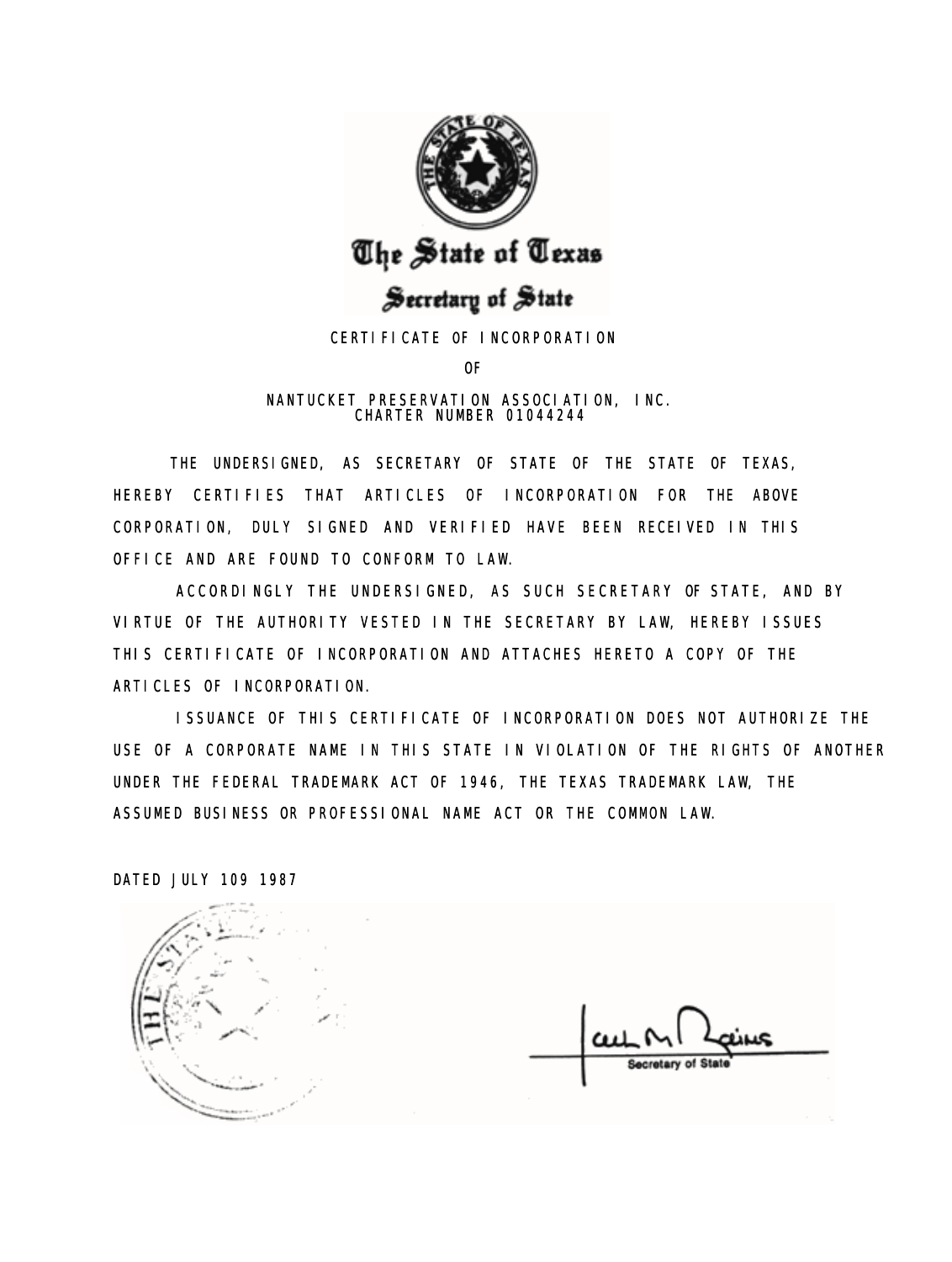

# The State of Texas

# Secretary of State

# CERTIFICATE OF INCORPORATION

OF

## NANTUCKET PRESERVATION ASSOCIATION, INC. CHARTER NUMBER 01044244

THE UNDERSIGNED, AS SECRETARY OF STATE OF THE STATE OF TEXAS, HEREBY CERTIFIES THAT ARTICLES OF INCORPORATION FOR THE ABOVE CORPORATION, DULY SIGNED AND VERIFIED HAVE BEEN RECEIVED IN THIS OFFICE AND ARE FOUND TO CONFORM TO LAW.

ACCORDINGLY THE UNDERSIGNED, AS SUCH SECRETARY OF STATE, AND BY VIRTUE OF THE AUTHORITY VESTED IN THE SECRETARY BY LAW, HEREBY ISSUES THIS CERTIFICATE OF INCORPORATION AND ATTACHES HERETO A COPY OF THE ARTICLES OF INCORPORATION.

ISSUANCE OF THIS CERTIFICATE OF INCORPORATION DOES NOT AUTHORIZE THE USE OF A CORPORATE NAME IN THIS STATE IN VIOLATION OF THE RIGHTS OF ANOTHER UNDER THE FEDERAL TRADEMARK ACT OF 1946, THE TEXAS TRADEMARK LAW, THE ASSUMED BUSINESS OR PROFESSIONAL NAME ACT OR THE COMMON LAW.

DATED JULY 109 1987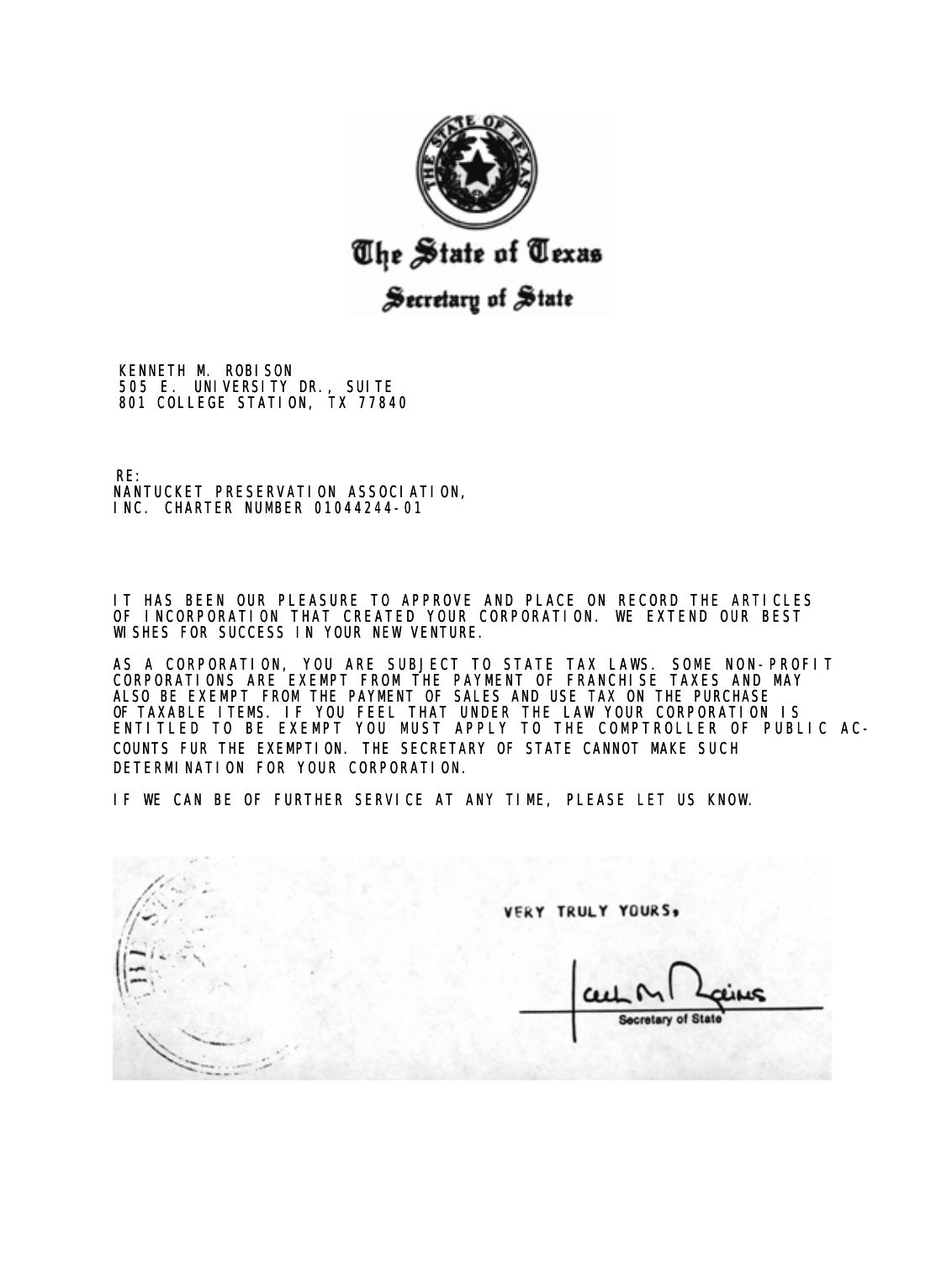

# The State of Texas

# Secretary of State

KENNETH M. ROBISON 505 E. UNIVERSITY DR., SUITE 801 COLLEGE STATION, TX 77840

RE: NANTUCKET PRESERVATION ASSOCIATION, INC. CHARTER NUMBER 01044244-01

IT HAS BEEN OUR PLEASURE TO APPROVE AND PLACE ON RECORD THE ARTICLES OF INCORPORATION THAT CREATED YOUR CORPORATION. WE EXTEND OUR BEST WISHES FOR SUCCESS IN YOUR NEW VENTURE.

AS A CORPORATION, YOU ARE SUBJECT TO STATE TAX LAWS. SOME NON-PROFIT CORPORATIONS ARE EXEMPT FROM THE PAYMENT OF FRANCHISE TAXES AND MAY ALSO BE EXEMPT FROM THE PAYMENT OF SALES AND USE TAX ON THE PURCHASE OF TAXABLE ITEMS. IF YOU FEEL THAT UNDER THE LAW YOUR CORPORATION IS ENTITLED TO BE EXEMPT YOU MUST APPLY TO THE COMPTROLLER OF PUBLIC AC-COUNTS FUR THE EXEMPTION. THE SECRETARY OF STATE CANNOT MAKE SUCH DETERMINATION FOR YOUR CORPORATION.

IF WE CAN BE OF FURTHER SERVICE AT ANY TIME, PLEASE LET US KNOW.

**VERY TRULY YOURS, Secretary of State**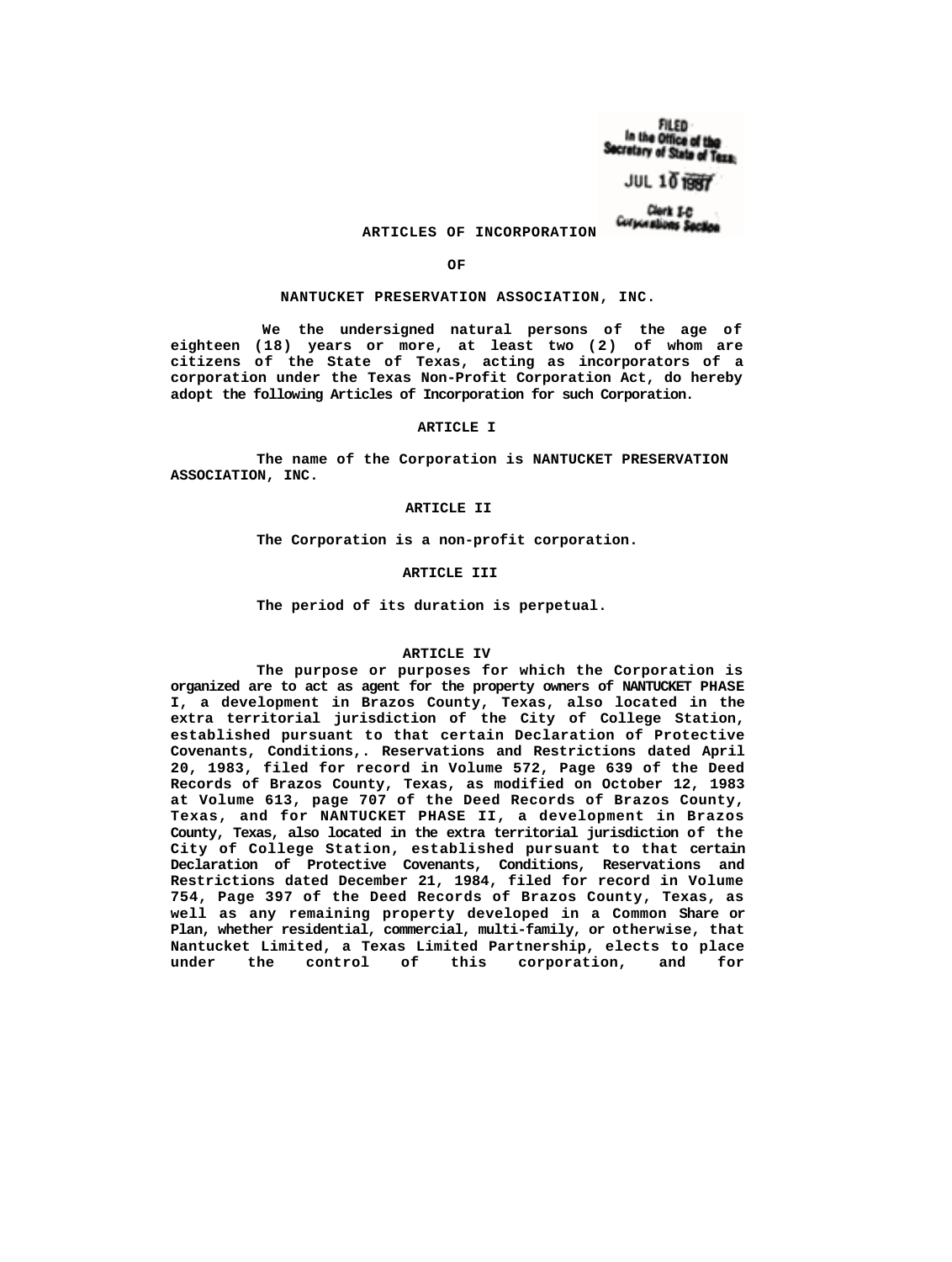FILED In the Office of the Secretary of State of Texa:

# $JUL$  10  $B$

Clerk I-C Corporations Section

## **ARTICLES OF INCORPORATION**

**OF**

#### **NANTUCKET PRESERVATION ASSOCIATION, INC.**

**We the undersigned natural persons of the age of eighteen (18) years or more, at least two (2) of whom are citizens of the State of Texas, acting as incorporators of a corporation under the Texas Non-Profit Corporation Act, do hereby adopt the following Articles of Incorporation for such Corporation.**

#### **ARTICLE I**

**The name of the Corporation is NANTUCKET PRESERVATION ASSOCIATION, INC.**

#### **ARTICLE II**

**The Corporation is a non-profit corporation.**

#### **ARTICLE III**

**The period of its duration is perpetual.**

#### **ARTICLE IV**

**The purpose or purposes for which the Corporation is organized are to act as agent for the property owners of NANTUCKET PHASE I, a development in Brazos County, Texas, also located in the extra territorial jurisdiction of the City of College Station, established pursuant to that certain Declaration of Protective Covenants, Conditions,. Reservations and Restrictions dated April 20, 1983, filed for record in Volume 572, Page 639 of the Deed Records of Brazos County, Texas, as modified on October 12, 1983 at Volume 613, page 707 of the Deed Records of Brazos County, Texas, and for NANTUCKET PHASE II, a development in Brazos County, Texas, also located in the extra territorial jurisdiction of the City of College Station, established pursuant to that certain Declaration of Protective Covenants, Conditions, Reservations and Restrictions dated December 21, 1984, filed for record in Volume 754, Page 397 of the Deed Records of Brazos County, Texas, as well as any remaining property developed in a Common Share or Plan, whether residential, commercial, multi-family, or otherwise, that Nantucket Limited, a Texas Limited Partnership, elects to place under the control of this corporation, and for**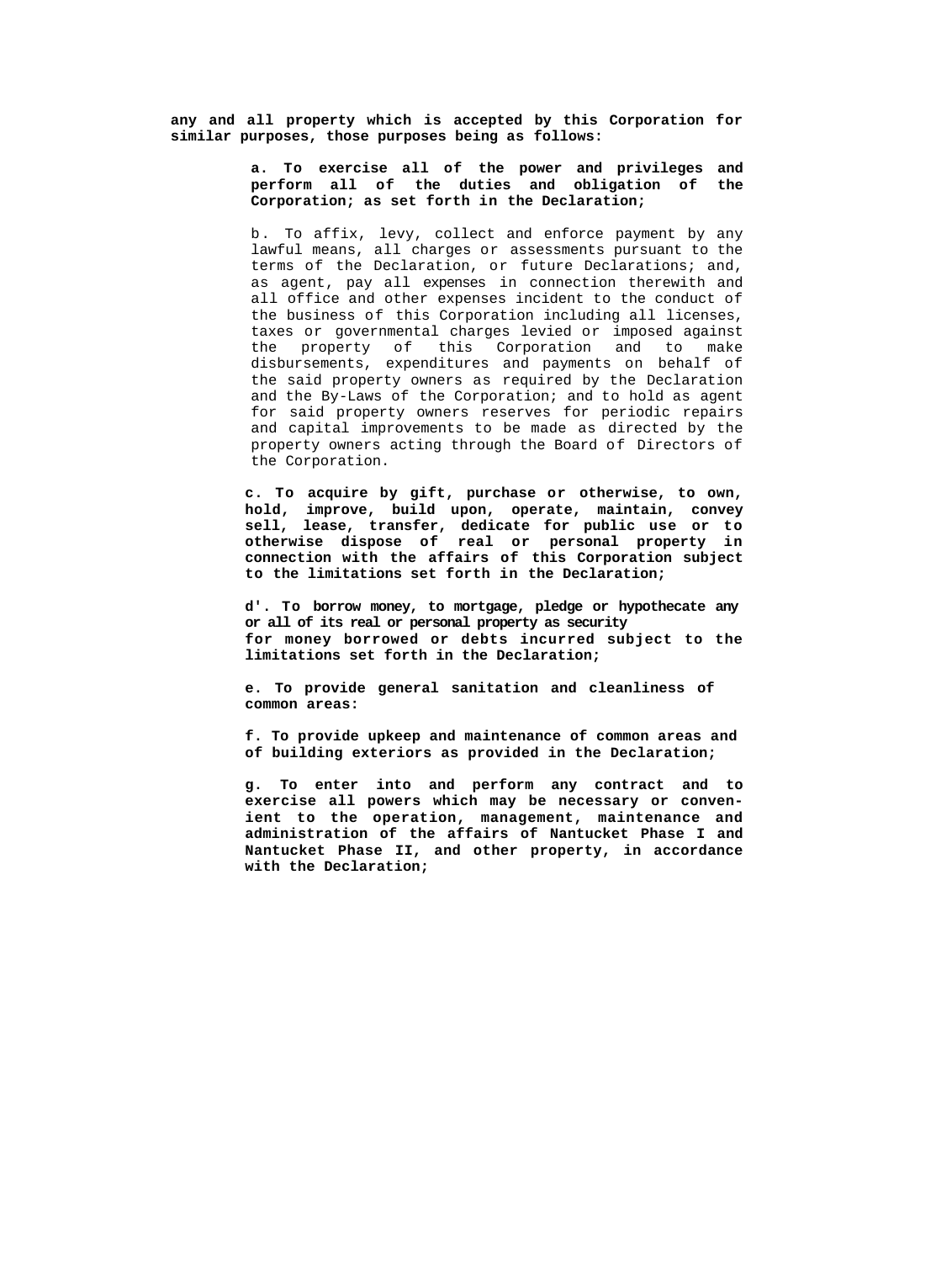**any and all property which is accepted by this Corporation for similar purposes, those purposes being as follows:**

## **a. To exercise all of the power and privileges and perform all of the duties and obligation of the Corporation; as set forth in the Declaration;**

b. To affix, levy, collect and enforce payment by any lawful means, all charges or assessments pursuant to the terms of the Declaration, or future Declarations; and, as agent, pay all expenses in connection therewith and all office and other expenses incident to the conduct of the business of this Corporation including all licenses, taxes or governmental charges levied or imposed against the property of this Corporation and to make disbursements, expenditures and payments on behalf of the said property owners as required by the Declaration and the By-Laws of the Corporation; and to hold as agent for said property owners reserves for periodic repairs and capital improvements to be made as directed by the property owners acting through the Board of Directors of the Corporation.

**c. To acquire by gift, purchase or otherwise, to own, hold, improve, build upon, operate, maintain, convey sell, lease, transfer, dedicate for public use or to otherwise dispose of real or personal property in connection with the affairs of this Corporation subject to the limitations set forth in the Declaration;**

**d'. To borrow money, to mortgage, pledge or hypothecate any or all of its real or personal property as security for money borrowed or debts incurred subject to the limitations set forth in the Declaration;**

**e. To provide general sanitation and cleanliness of common areas:**

**f. To provide upkeep and maintenance of common areas and of building exteriors as provided in the Declaration;**

**g. To enter into and perform any contract and to exercise all powers which may be necessary or convenient to the operation, management, maintenance and administration of the affairs of Nantucket Phase I and Nantucket Phase II, and other property, in accordance with the Declaration;**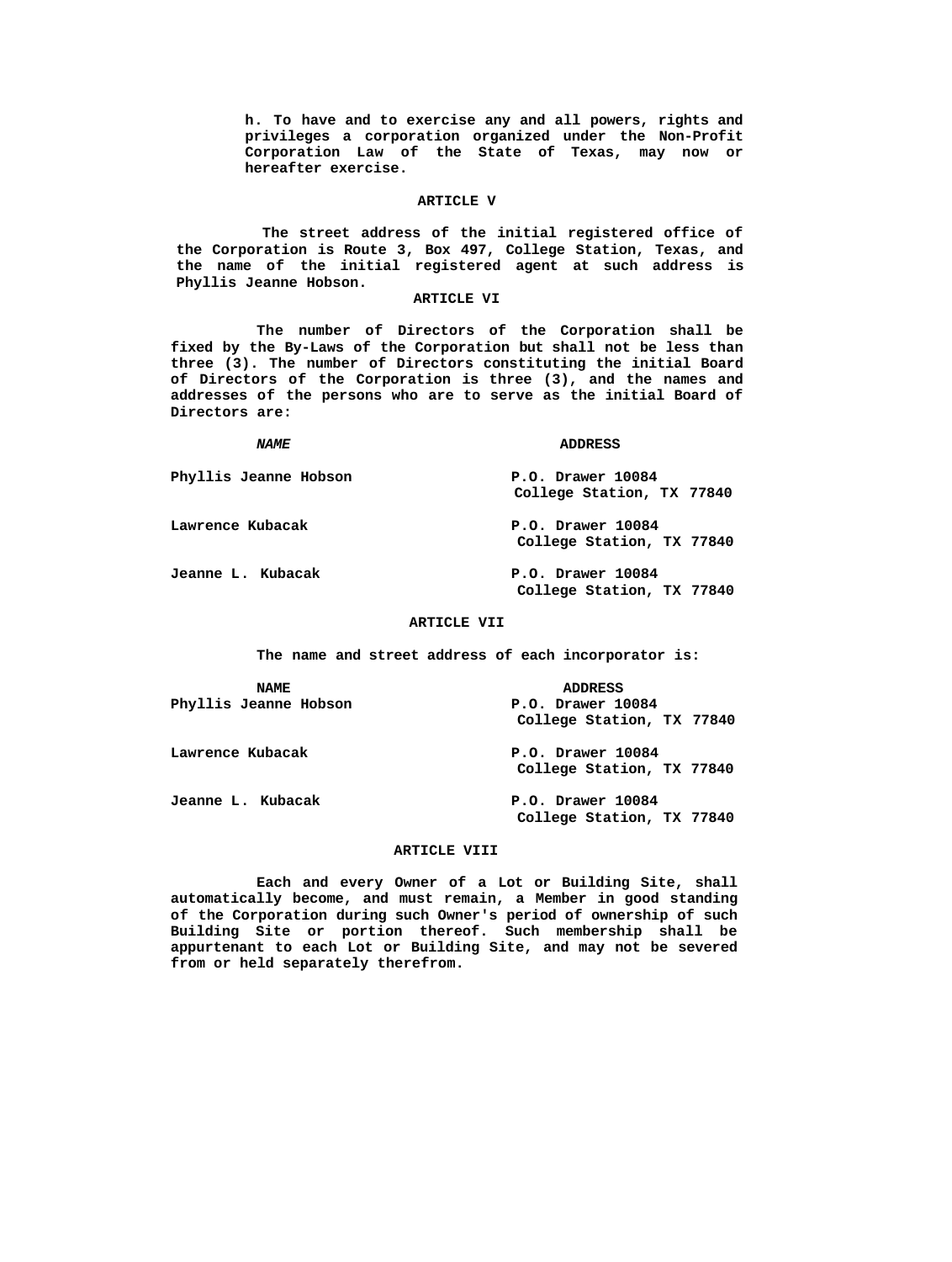**h. To have and to exercise any and all powers, rights and privileges a corporation organized under the Non-Profit Corporation Law of the State of Texas, may now or hereafter exercise.**

#### **ARTICLE V**

**The street address of the initial registered office of the Corporation is Route 3, Box 497, College Station, Texas, and the name of the initial registered agent at such address is Phyllis Jeanne Hobson.**

### **ARTICLE VI**

**The number of Directors of the Corporation shall be fixed by the By-Laws of the Corporation but shall not be less than three (3). The number of Directors constituting the initial Board of Directors of the Corporation is three (3), and the names and addresses of the persons who are to serve as the initial Board of Directors are:**

*NAME* **ADDRESS**

**Phyllis Jeanne Hobson P.O. Drawer 10084 College Station, TX 77840**

**Lawrence Kubacak P.O. Drawer 10084**

**Jeanne L. Kubacak P.O. Drawer 10084 College Station, TX 77840**

**College Station, TX 77840**

## **ARTICLE VII**

**The name and street address of each incorporator is:** 

| <b>NAME</b>           | <b>ADDRESS</b>            |
|-----------------------|---------------------------|
| Phyllis Jeanne Hobson | P.O. Drawer 10084         |
|                       | College Station, TX 77840 |
| Lawrence Kubacak      | P.O. Drawer 10084         |
|                       | College Station, TX 77840 |
| Jeanne L. Kubacak     | P.O. Drawer 10084         |
|                       | College Station, TX 77840 |

### **ARTICLE VIII**

**Each and every Owner of a Lot or Building Site, shall automatically become, and must remain, a Member in good standing of the Corporation during such Owner's period of ownership of such Building Site or portion thereof. Such membership shall be appurtenant to each Lot or Building Site, and may not be severed from or held separately therefrom.**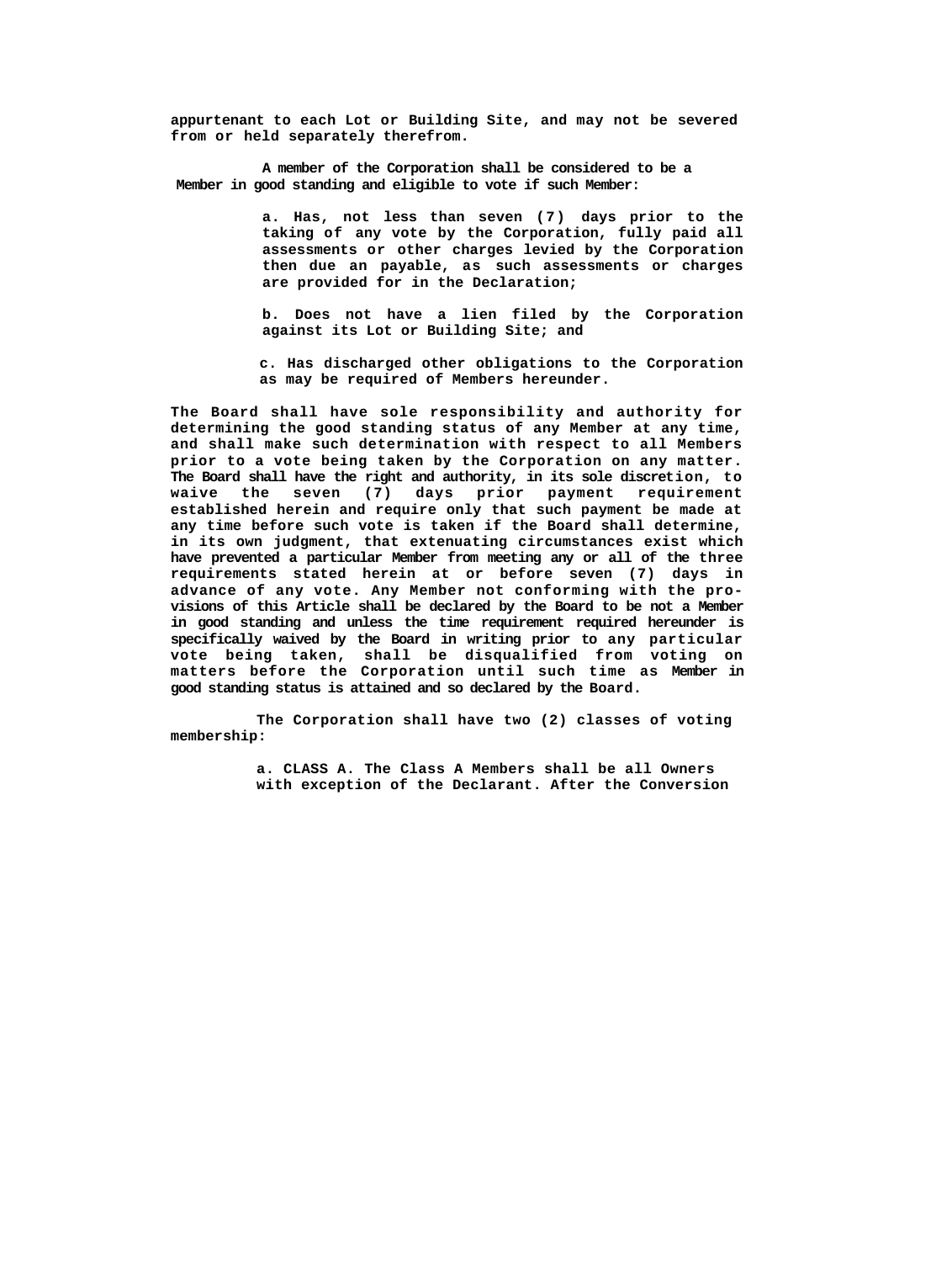**appurtenant to each Lot or Building Site, and may not be severed from or held separately therefrom.**

**A member of the Corporation shall be considered to be a Member in good standing and eligible to vote if such Member:**

> **a. Has, not less than seven (7) days prior to the taking of any vote by the Corporation, fully paid all assessments or other charges levied by the Corporation then due an payable, as such assessments or charges are provided for in the Declaration;**

> **b. Does not have a lien filed by the Corporation against its Lot or Building Site; and**

> **c. Has discharged other obligations to the Corporation as may be required of Members hereunder.**

**The Board shall have sole responsibility and authority for determining the good standing status of any Member at any time, and shall make such determination with respect to all Members prior to a vote being taken by the Corporation on any matter. The Board shall have the right and authority, in its sole discretion, to waive the seven (7) days prior payment requirement established herein and require only that such payment be made at any time before such vote is taken if the Board shall determine, in its own judgment, that extenuating circumstances exist which have prevented a particular Member from meeting any or all of the three requirements stated herein at or before seven (7) days in advance of any vote. Any Member not conforming with the provisions of this Article shall be declared by the Board to be not a Member in good standing and unless the time requirement required hereunder is specifically waived by the Board in writing prior to any particular vote being taken, shall be disqualified from voting on matters before the Corporation until such time as Member in good standing status is attained and so declared by the Board.**

**The Corporation shall have two (2) classes of voting membership:**

> **a. CLASS A. The Class A Members shall be all Owners with exception of the Declarant. After the Conversion**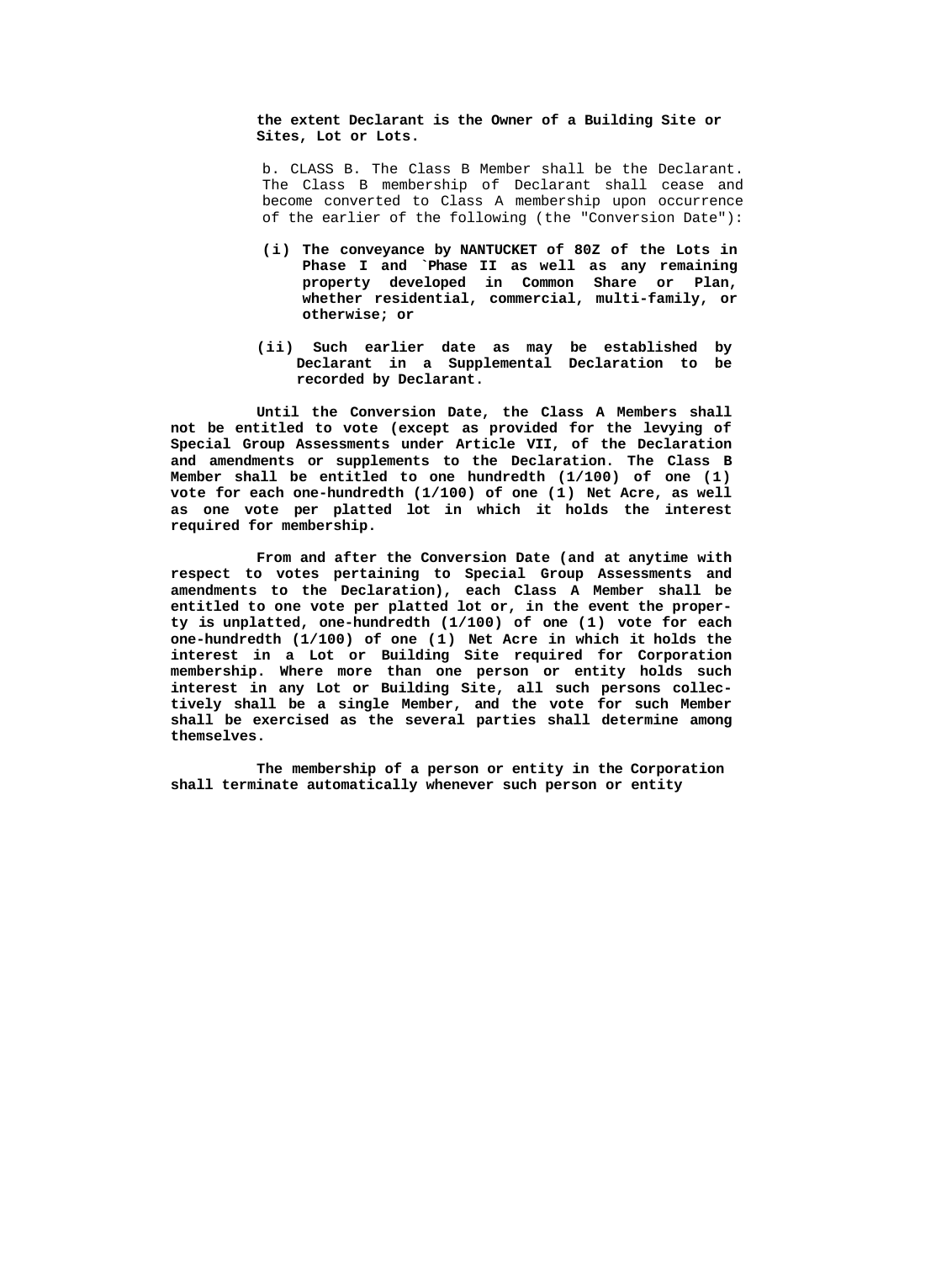**the extent Declarant is the Owner of a Building Site or Sites, Lot or Lots.**

b. CLASS B. The Class B Member shall be the Declarant. The Class B membership of Declarant shall cease and become converted to Class A membership upon occurrence of the earlier of the following (the "Conversion Date"):

- **(i) The conveyance by NANTUCKET of 80Z of the Lots in Phase I and `Phase II as well as any remaining property developed in Common Share or Plan, whether residential, commercial, multi-family, or otherwise; or**
- **(ii) Such earlier date as may be established by Declarant in a Supplemental Declaration to be recorded by Declarant.**

**Until the Conversion Date, the Class A Members shall not be entitled to vote (except as provided for the levying of Special Group Assessments under Article VII, of the Declaration and amendments or supplements to the Declaration. The Class B Member shall be entitled to one hundredth (1/100) of one (1) vote for each one-hundredth (1/100) of one (1) Net Acre, as well as one vote per platted lot in which it holds the interest required for membership.**

**From and after the Conversion Date (and at anytime with respect to votes pertaining to Special Group Assessments and amendments to the Declaration), each Class A Member shall be entitled to one vote per platted lot or, in the event the property is unplatted, one-hundredth (1/100) of one (1) vote for each one-hundredth (1/100) of one (1) Net Acre in which it holds the interest in a Lot or Building Site required for Corporation membership. Where more than one person or entity holds such interest in any Lot or Building Site, all such persons collectively shall be a single Member, and the vote for such Member shall be exercised as the several parties shall determine among themselves.**

**The membership of a person or entity in the Corporation shall terminate automatically whenever such person or entity**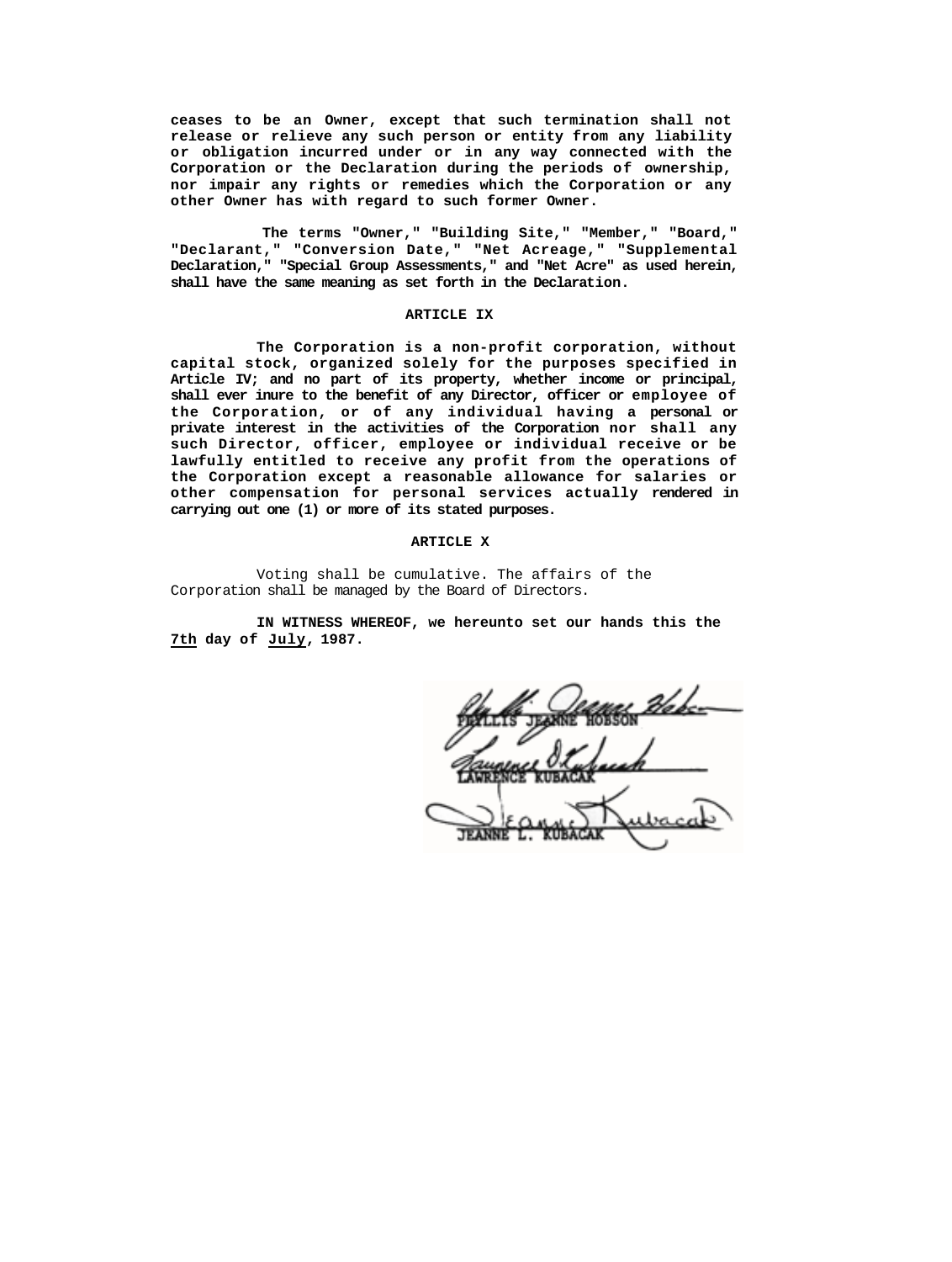**ceases to be an Owner, except that such termination shall not release or relieve any such person or entity from any liability or obligation incurred under or in any way connected with the Corporation or the Declaration during the periods of ownership, nor impair any rights or remedies which the Corporation or any other Owner has with regard to such former Owner.**

**The terms "Owner," "Building Site," "Member," "Board," "Declarant," "Conversion Date," "Net Acreage," "Supplemental Declaration," "Special Group Assessments," and "Net Acre" as used herein, shall have the same meaning as set forth in the Declaration.**

### **ARTICLE IX**

**The Corporation is a non-profit corporation, without capital stock, organized solely for the purposes specified in Article IV; and no part of its property, whether income or principal, shall ever inure to the benefit of any Director, officer or employee of the Corporation, or of any individual having a personal or private interest in the activities of the Corporation nor shall any such Director, officer, employee or individual receive or be lawfully entitled to receive any profit from the operations of the Corporation except a reasonable allowance for salaries or other compensation for personal services actually rendered in carrying out one (1) or more of its stated purposes.**

### **ARTICLE X**

Voting shall be cumulative. The affairs of the Corporation shall be managed by the Board of Directors.

**IN WITNESS WHEREOF, we hereunto set our hands this the 7th day of July, 1987.**